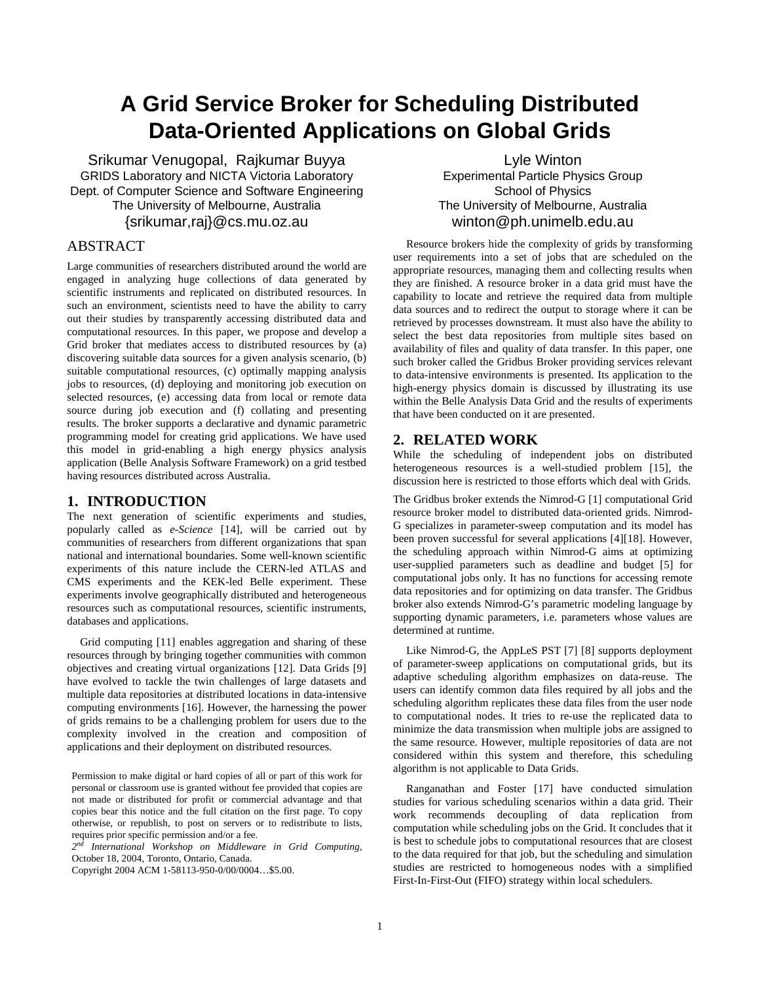# **A Grid Service Broker for Scheduling Distributed Data-Oriented Applications on Global Grids**

Srikumar Venugopal, Rajkumar Buyya GRIDS Laboratory and NICTA Victoria Laboratory Dept. of Computer Science and Software Engineering The University of Melbourne, Australia {srikumar,raj}@cs.mu.oz.au

# ABSTRACT

Large communities of researchers distributed around the world are engaged in analyzing huge collections of data generated by scientific instruments and replicated on distributed resources. In such an environment, scientists need to have the ability to carry out their studies by transparently accessing distributed data and computational resources. In this paper, we propose and develop a Grid broker that mediates access to distributed resources by (a) discovering suitable data sources for a given analysis scenario, (b) suitable computational resources, (c) optimally mapping analysis jobs to resources, (d) deploying and monitoring job execution on selected resources, (e) accessing data from local or remote data source during job execution and (f) collating and presenting results. The broker supports a declarative and dynamic parametric programming model for creating grid applications. We have used this model in grid-enabling a high energy physics analysis application (Belle Analysis Software Framework) on a grid testbed having resources distributed across Australia.

# **1. INTRODUCTION**

The next generation of scientific experiments and studies, popularly called as *e-Science* [14], will be carried out by communities of researchers from different organizations that span national and international boundaries. Some well-known scientific experiments of this nature include the CERN-led ATLAS and CMS experiments and the KEK-led Belle experiment. These experiments involve geographically distributed and heterogeneous resources such as computational resources, scientific instruments, databases and applications.

Grid computing [11] enables aggregation and sharing of these resources through by bringing together communities with common objectives and creating virtual organizations [12]. Data Grids [9] have evolved to tackle the twin challenges of large datasets and multiple data repositories at distributed locations in data-intensive computing environments [16]. However, the harnessing the power of grids remains to be a challenging problem for users due to the complexity involved in the creation and composition of applications and their deployment on distributed resources.

Permission to make digital or hard copies of all or part of this work for personal or classroom use is granted without fee provided that copies are not made or distributed for profit or commercial advantage and that copies bear this notice and the full citation on the first page. To copy otherwise, or republish, to post on servers or to redistribute to lists, requires prior specific permission and/or a fee.

*2 nd International Workshop on Middleware in Grid Computing*, October 18, 2004, Toronto, Ontario, Canada.

Copyright 2004 ACM 1-58113-950-0/00/0004…\$5.00.

Lyle Winton Experimental Particle Physics Group School of Physics The University of Melbourne, Australia winton@ph.unimelb.edu.au

Resource brokers hide the complexity of grids by transforming user requirements into a set of jobs that are scheduled on the appropriate resources, managing them and collecting results when they are finished. A resource broker in a data grid must have the capability to locate and retrieve the required data from multiple data sources and to redirect the output to storage where it can be retrieved by processes downstream. It must also have the ability to select the best data repositories from multiple sites based on availability of files and quality of data transfer. In this paper, one such broker called the Gridbus Broker providing services relevant to data-intensive environments is presented. Its application to the high-energy physics domain is discussed by illustrating its use within the Belle Analysis Data Grid and the results of experiments that have been conducted on it are presented.

## **2. RELATED WORK**

While the scheduling of independent jobs on distributed heterogeneous resources is a well-studied problem [15], the discussion here is restricted to those efforts which deal with Grids.

The Gridbus broker extends the Nimrod-G [1] computational Grid resource broker model to distributed data-oriented grids. Nimrod-G specializes in parameter-sweep computation and its model has been proven successful for several applications [4][18]. However, the scheduling approach within Nimrod-G aims at optimizing user-supplied parameters such as deadline and budget [5] for computational jobs only. It has no functions for accessing remote data repositories and for optimizing on data transfer. The Gridbus broker also extends Nimrod-G's parametric modeling language by supporting dynamic parameters, i.e. parameters whose values are determined at runtime.

Like Nimrod-G, the AppLeS PST [7] [8] supports deployment of parameter-sweep applications on computational grids, but its adaptive scheduling algorithm emphasizes on data-reuse. The users can identify common data files required by all jobs and the scheduling algorithm replicates these data files from the user node to computational nodes. It tries to re-use the replicated data to minimize the data transmission when multiple jobs are assigned to the same resource. However, multiple repositories of data are not considered within this system and therefore, this scheduling algorithm is not applicable to Data Grids.

Ranganathan and Foster [17] have conducted simulation studies for various scheduling scenarios within a data grid. Their work recommends decoupling of data replication from computation while scheduling jobs on the Grid. It concludes that it is best to schedule jobs to computational resources that are closest to the data required for that job, but the scheduling and simulation studies are restricted to homogeneous nodes with a simplified First-In-First-Out (FIFO) strategy within local schedulers.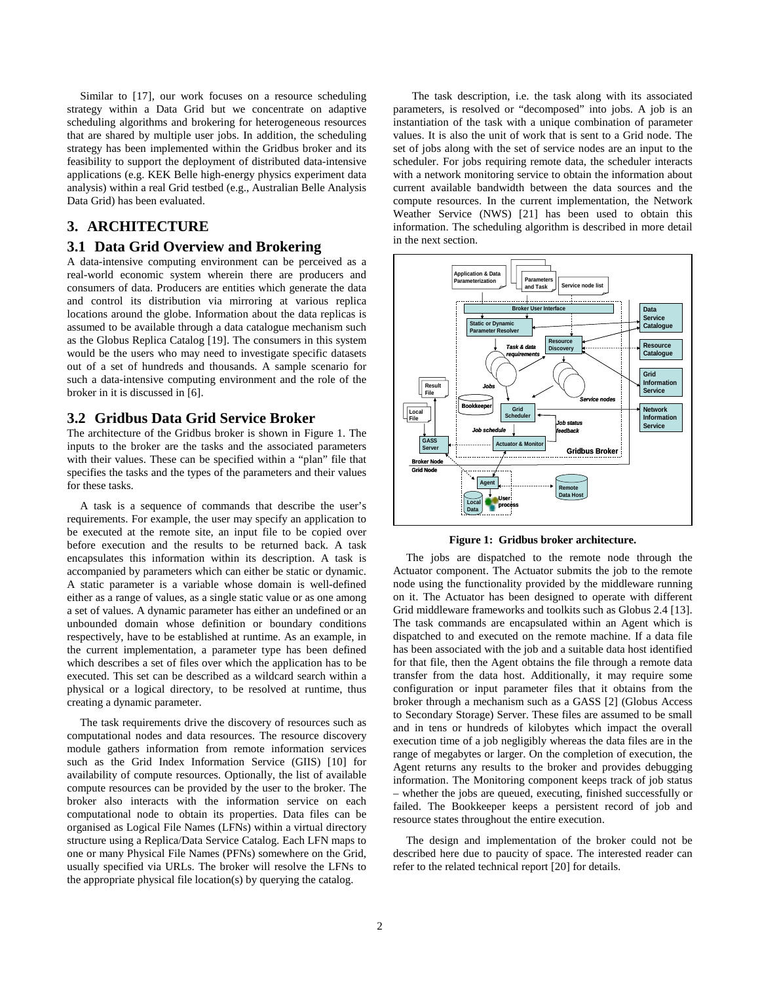Similar to [17], our work focuses on a resource scheduling strategy within a Data Grid but we concentrate on adaptive scheduling algorithms and brokering for heterogeneous resources that are shared by multiple user jobs. In addition, the scheduling strategy has been implemented within the Gridbus broker and its feasibility to support the deployment of distributed data-intensive applications (e.g. KEK Belle high-energy physics experiment data analysis) within a real Grid testbed (e.g., Australian Belle Analysis Data Grid) has been evaluated.

# **3. ARCHITECTURE**

# **3.1 Data Grid Overview and Brokering**

A data-intensive computing environment can be perceived as a real-world economic system wherein there are producers and consumers of data. Producers are entities which generate the data and control its distribution via mirroring at various replica locations around the globe. Information about the data replicas is assumed to be available through a data catalogue mechanism such as the Globus Replica Catalog [19]. The consumers in this system would be the users who may need to investigate specific datasets out of a set of hundreds and thousands. A sample scenario for such a data-intensive computing environment and the role of the broker in it is discussed in [6].

## **3.2 Gridbus Data Grid Service Broker**

The architecture of the Gridbus broker is shown in Figure 1. The inputs to the broker are the tasks and the associated parameters with their values. These can be specified within a "plan" file that specifies the tasks and the types of the parameters and their values for these tasks.

A task is a sequence of commands that describe the user's requirements. For example, the user may specify an application to be executed at the remote site, an input file to be copied over before execution and the results to be returned back. A task encapsulates this information within its description. A task is accompanied by parameters which can either be static or dynamic. A static parameter is a variable whose domain is well-defined either as a range of values, as a single static value or as one among a set of values. A dynamic parameter has either an undefined or an unbounded domain whose definition or boundary conditions respectively, have to be established at runtime. As an example, in the current implementation, a parameter type has been defined which describes a set of files over which the application has to be executed. This set can be described as a wildcard search within a physical or a logical directory, to be resolved at runtime, thus creating a dynamic parameter.

The task requirements drive the discovery of resources such as computational nodes and data resources. The resource discovery module gathers information from remote information services such as the Grid Index Information Service (GIIS) [10] for availability of compute resources. Optionally, the list of available compute resources can be provided by the user to the broker. The broker also interacts with the information service on each computational node to obtain its properties. Data files can be organised as Logical File Names (LFNs) within a virtual directory structure using a Replica/Data Service Catalog. Each LFN maps to one or many Physical File Names (PFNs) somewhere on the Grid, usually specified via URLs. The broker will resolve the LFNs to the appropriate physical file location(s) by querying the catalog.

The task description, i.e. the task along with its associated parameters, is resolved or "decomposed" into jobs. A job is an instantiation of the task with a unique combination of parameter values. It is also the unit of work that is sent to a Grid node. The set of jobs along with the set of service nodes are an input to the scheduler. For jobs requiring remote data, the scheduler interacts with a network monitoring service to obtain the information about current available bandwidth between the data sources and the compute resources. In the current implementation, the Network Weather Service (NWS) [21] has been used to obtain this information. The scheduling algorithm is described in more detail in the next section.



**Figure 1: Gridbus broker architecture.**

The jobs are dispatched to the remote node through the Actuator component. The Actuator submits the job to the remote node using the functionality provided by the middleware running on it. The Actuator has been designed to operate with different Grid middleware frameworks and toolkits such as Globus 2.4 [13]. The task commands are encapsulated within an Agent which is dispatched to and executed on the remote machine. If a data file has been associated with the job and a suitable data host identified for that file, then the Agent obtains the file through a remote data transfer from the data host. Additionally, it may require some configuration or input parameter files that it obtains from the broker through a mechanism such as a GASS [2] (Globus Access to Secondary Storage) Server. These files are assumed to be small and in tens or hundreds of kilobytes which impact the overall execution time of a job negligibly whereas the data files are in the range of megabytes or larger. On the completion of execution, the Agent returns any results to the broker and provides debugging information. The Monitoring component keeps track of job status – whether the jobs are queued, executing, finished successfully or failed. The Bookkeeper keeps a persistent record of job and resource states throughout the entire execution.

The design and implementation of the broker could not be described here due to paucity of space. The interested reader can refer to the related technical report [20] for details.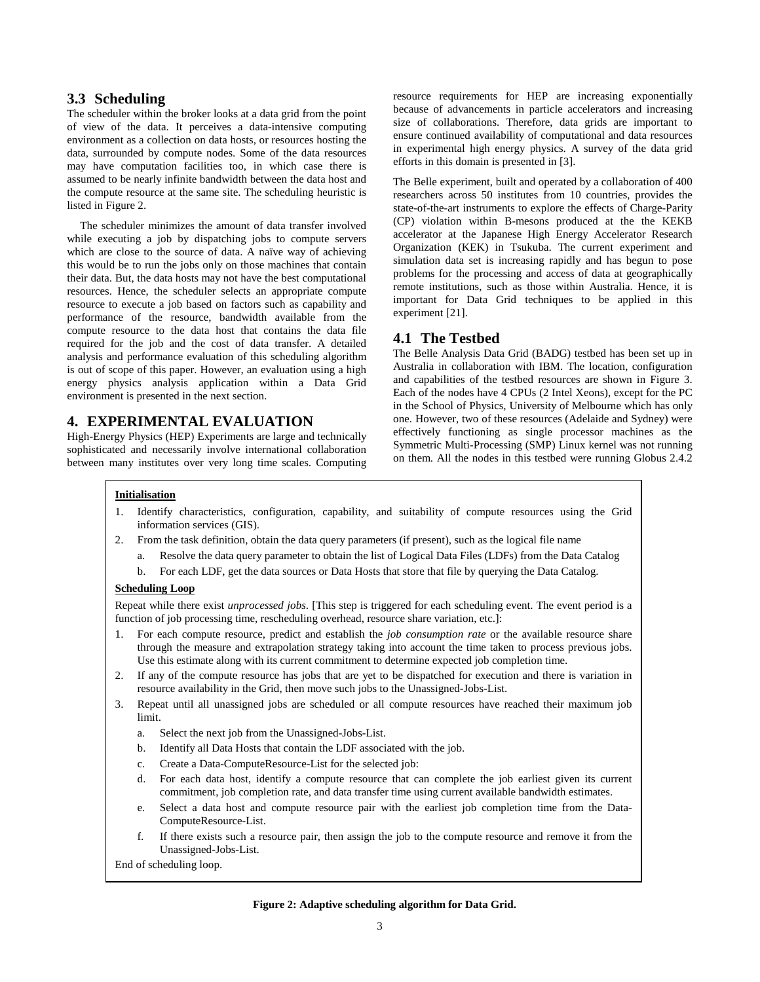# **3.3 Scheduling**

The scheduler within the broker looks at a data grid from the point of view of the data. It perceives a data-intensive computing environment as a collection on data hosts, or resources hosting the data, surrounded by compute nodes. Some of the data resources may have computation facilities too, in which case there is assumed to be nearly infinite bandwidth between the data host and the compute resource at the same site. The scheduling heuristic is listed in Figure 2.

The scheduler minimizes the amount of data transfer involved while executing a job by dispatching jobs to compute servers which are close to the source of data. A naïve way of achieving this would be to run the jobs only on those machines that contain their data. But, the data hosts may not have the best computational resources. Hence, the scheduler selects an appropriate compute resource to execute a job based on factors such as capability and performance of the resource, bandwidth available from the compute resource to the data host that contains the data file required for the job and the cost of data transfer. A detailed analysis and performance evaluation of this scheduling algorithm is out of scope of this paper. However, an evaluation using a high energy physics analysis application within a Data Grid environment is presented in the next section.

# **4. EXPERIMENTAL EVALUATION**

High-Energy Physics (HEP) Experiments are large and technically sophisticated and necessarily involve international collaboration between many institutes over very long time scales. Computing resource requirements for HEP are increasing exponentially because of advancements in particle accelerators and increasing size of collaborations. Therefore, data grids are important to ensure continued availability of computational and data resources in experimental high energy physics. A survey of the data grid efforts in this domain is presented in [3].

The Belle experiment, built and operated by a collaboration of 400 researchers across 50 institutes from 10 countries, provides the state-of-the-art instruments to explore the effects of Charge-Parity (CP) violation within B-mesons produced at the the KEKB accelerator at the Japanese High Energy Accelerator Research Organization (KEK) in Tsukuba. The current experiment and simulation data set is increasing rapidly and has begun to pose problems for the processing and access of data at geographically remote institutions, such as those within Australia. Hence, it is important for Data Grid techniques to be applied in this experiment [21].

# **4.1 The Testbed**

The Belle Analysis Data Grid (BADG) testbed has been set up in Australia in collaboration with IBM. The location, configuration and capabilities of the testbed resources are shown in Figure 3. Each of the nodes have 4 CPUs (2 Intel Xeons), except for the PC in the School of Physics, University of Melbourne which has only one. However, two of these resources (Adelaide and Sydney) were effectively functioning as single processor machines as the Symmetric Multi-Processing (SMP) Linux kernel was not running on them. All the nodes in this testbed were running Globus 2.4.2

#### **Initialisation**

- 1. Identify characteristics, configuration, capability, and suitability of compute resources using the Grid information services (GIS).
- 2. From the task definition, obtain the data query parameters (if present), such as the logical file name
	- a. Resolve the data query parameter to obtain the list of Logical Data Files (LDFs) from the Data Catalog
	- b. For each LDF, get the data sources or Data Hosts that store that file by querying the Data Catalog.

#### **Scheduling Loop**

Repeat while there exist *unprocessed jobs*. [This step is triggered for each scheduling event. The event period is a function of job processing time, rescheduling overhead, resource share variation, etc.]:

- 1. For each compute resource, predict and establish the *job consumption rate* or the available resource share through the measure and extrapolation strategy taking into account the time taken to process previous jobs. Use this estimate along with its current commitment to determine expected job completion time.
- 2. If any of the compute resource has jobs that are yet to be dispatched for execution and there is variation in resource availability in the Grid, then move such jobs to the Unassigned-Jobs-List.
- 3. Repeat until all unassigned jobs are scheduled or all compute resources have reached their maximum job limit.
	- a. Select the next job from the Unassigned-Jobs-List.
	- b. Identify all Data Hosts that contain the LDF associated with the job.
	- c. Create a Data-ComputeResource-List for the selected job:
	- d. For each data host, identify a compute resource that can complete the job earliest given its current commitment, job completion rate, and data transfer time using current available bandwidth estimates.
	- e. Select a data host and compute resource pair with the earliest job completion time from the Data-ComputeResource-List.
	- f. If there exists such a resource pair, then assign the job to the compute resource and remove it from the Unassigned-Jobs-List.

End of scheduling loop.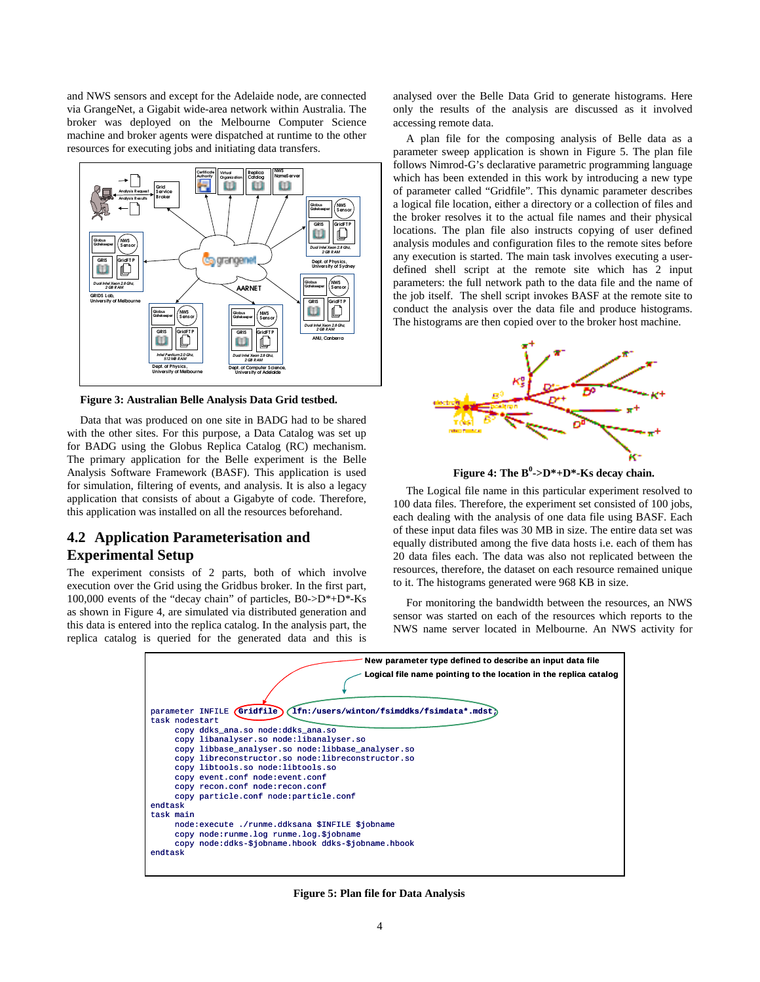and NWS sensors and except for the Adelaide node, are connected via GrangeNet, a Gigabit wide-area network within Australia. The broker was deployed on the Melbourne Computer Science machine and broker agents were dispatched at runtime to the other resources for executing jobs and initiating data transfers.



**Figure 3: Australian Belle Analysis Data Grid testbed.**

Data that was produced on one site in BADG had to be shared with the other sites. For this purpose, a Data Catalog was set up for BADG using the Globus Replica Catalog (RC) mechanism. The primary application for the Belle experiment is the Belle Analysis Software Framework (BASF). This application is used for simulation, filtering of events, and analysis. It is also a legacy application that consists of about a Gigabyte of code. Therefore, this application was installed on all the resources beforehand.

# **4.2 Application Parameterisation and Experimental Setup**

The experiment consists of 2 parts, both of which involve execution over the Grid using the Gridbus broker. In the first part, 100,000 events of the "decay chain" of particles, B0->D\*+D\*-Ks as shown in Figure 4, are simulated via distributed generation and this data is entered into the replica catalog. In the analysis part, the replica catalog is queried for the generated data and this is analysed over the Belle Data Grid to generate histograms. Here only the results of the analysis are discussed as it involved accessing remote data.

A plan file for the composing analysis of Belle data as a parameter sweep application is shown in Figure 5. The plan file follows Nimrod-G's declarative parametric programming language which has been extended in this work by introducing a new type of parameter called "Gridfile". This dynamic parameter describes a logical file location, either a directory or a collection of files and the broker resolves it to the actual file names and their physical locations. The plan file also instructs copying of user defined analysis modules and configuration files to the remote sites before any execution is started. The main task involves executing a userdefined shell script at the remote site which has 2 input parameters: the full network path to the data file and the name of the job itself. The shell script invokes BASF at the remote site to conduct the analysis over the data file and produce histograms. The histograms are then copied over to the broker host machine.



**Figure 4: The B 0 ->D\*+D\*-Ks decay chain.**

The Logical file name in this particular experiment resolved to 100 data files. Therefore, the experiment set consisted of 100 jobs, each dealing with the analysis of one data file using BASF. Each of these input data files was 30 MB in size. The entire data set was equally distributed among the five data hosts i.e. each of them has 20 data files each. The data was also not replicated between the resources, therefore, the dataset on each resource remained unique to it. The histograms generated were 968 KB in size.

For monitoring the bandwidth between the resources, an NWS sensor was started on each of the resources which reports to the NWS name server located in Melbourne. An NWS activity for



**Figure 5: Plan file for Data Analysis**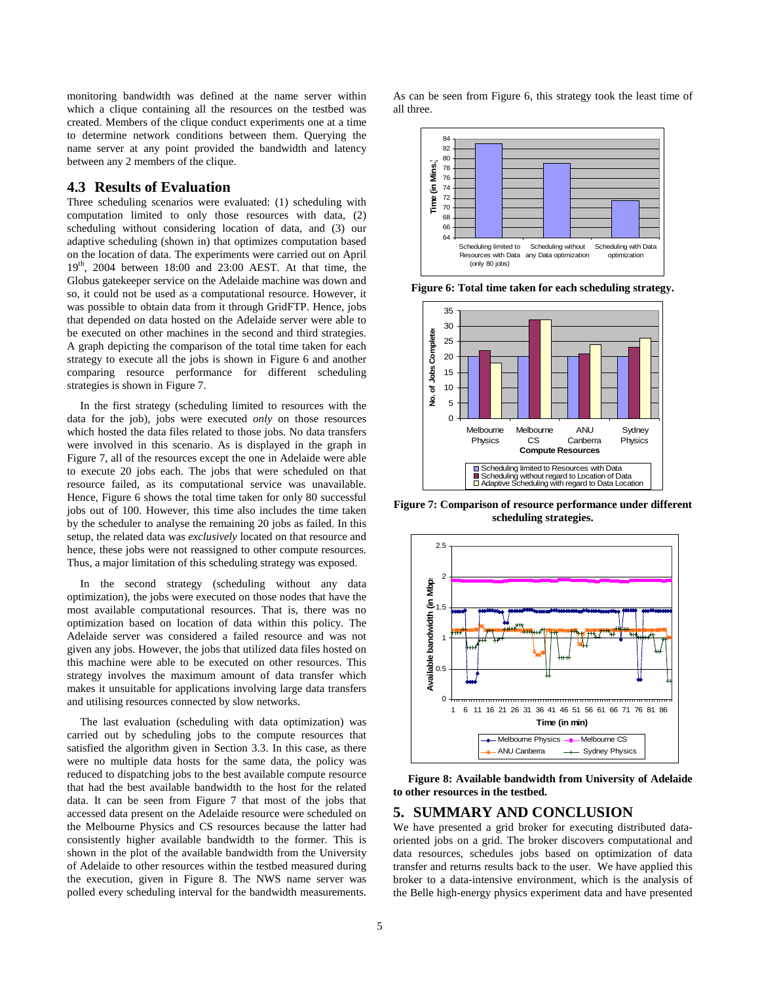monitoring bandwidth was defined at the name server within which a clique containing all the resources on the testbed was created. Members of the clique conduct experiments one at a time to determine network conditions between them. Querying the name server at any point provided the bandwidth and latency between any 2 members of the clique.

## **4.3 Results of Evaluation**

Three scheduling scenarios were evaluated: (1) scheduling with computation limited to only those resources with data, (2) scheduling without considering location of data, and (3) our adaptive scheduling (shown in) that optimizes computation based on the location of data. The experiments were carried out on April 19 th , 2004 between 18:00 and 23:00 AEST. At that time, the Globus gatekeeper service on the Adelaide machine was down and so, it could not be used as a computational resource. However, it was possible to obtain data from it through GridFTP. Hence, jobs that depended on data hosted on the Adelaide server were able to be executed on other machines in the second and third strategies. A graph depicting the comparison of the total time taken for each strategy to execute all the jobs is shown in Figure 6 and another comparing resource performance for different scheduling strategies is shown in Figure 7.

In the first strategy (scheduling limited to resources with the data for the job), jobs were executed *only* on those resources which hosted the data files related to those jobs. No data transfers were involved in this scenario. As is displayed in the graph in Figure 7, all of the resources except the one in Adelaide were able to execute 20 jobs each. The jobs that were scheduled on that resource failed, as its computational service was unavailable. Hence, Figure 6 shows the total time taken for only 80 successful jobs out of 100. However, this time also includes the time taken by the scheduler to analyse the remaining 20 jobs as failed. In this setup, the related data was *exclusively* located on that resource and hence, these jobs were not reassigned to other compute resources. Thus, a major limitation of this scheduling strategy was exposed.

In the second strategy (scheduling without any data optimization), the jobs were executed on those nodes that have the most available computational resources. That is, there was no optimization based on location of data within this policy. The Adelaide server was considered a failed resource and was not given any jobs. However, the jobs that utilized data files hosted on this machine were able to be executed on other resources. This strategy involves the maximum amount of data transfer which makes it unsuitable for applications involving large data transfers and utilising resources connected by slow networks.

The last evaluation (scheduling with data optimization) was carried out by scheduling jobs to the compute resources that satisfied the algorithm given in Section 3.3. In this case, as there were no multiple data hosts for the same data, the policy was reduced to dispatching jobs to the best available compute resource that had the best available bandwidth to the host for the related data. It can be seen from Figure 7 that most of the jobs that accessed data present on the Adelaide resource were scheduled on the Melbourne Physics and CS resources because the latter had consistently higher available bandwidth to the former. This is shown in the plot of the available bandwidth from the University of Adelaide to other resources within the testbed measured during the execution, given in Figure 8. The NWS name server was polled every scheduling interval for the bandwidth measurements.

As can be seen from Figure 6, this strategy took the least time of all three.



**Figure 6: Total time taken for each scheduling strategy.**



**Figure 7: Comparison of resource performance under different scheduling strategies.**



**Figure 8: Available bandwidth from University of Adelaide to other resources in the testbed.**

# **5. SUMMARY AND CONCLUSION**

We have presented a grid broker for executing distributed dataoriented jobs on a grid. The broker discovers computational and data resources, schedules jobs based on optimization of data transfer and returns results back to the user. We have applied this broker to a data-intensive environment, which is the analysis of the Belle high-energy physics experiment data and have presented